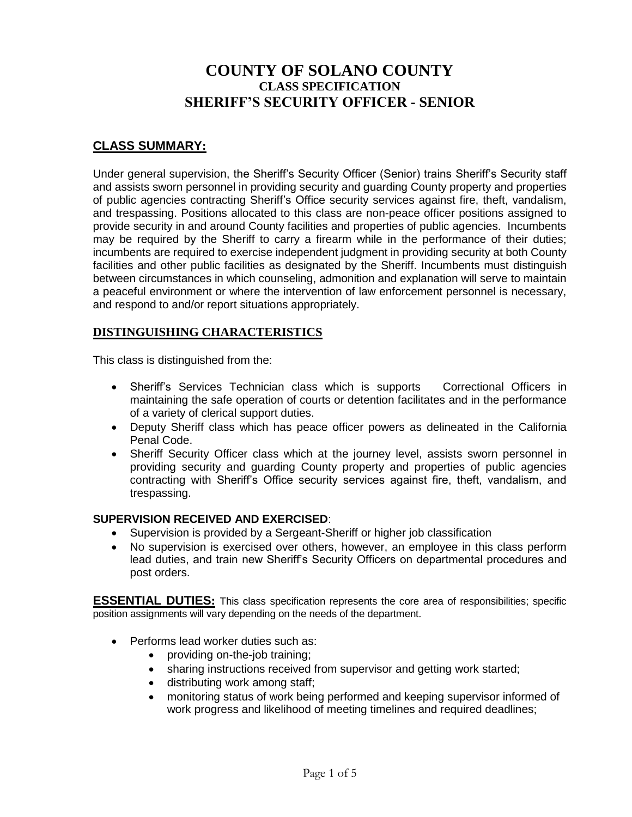# **COUNTY OF SOLANO COUNTY CLASS SPECIFICATION SHERIFF'S SECURITY OFFICER - SENIOR**

## **CLASS SUMMARY:**

Under general supervision, the Sheriff's Security Officer (Senior) trains Sheriff's Security staff and assists sworn personnel in providing security and guarding County property and properties of public agencies contracting Sheriff's Office security services against fire, theft, vandalism, and trespassing. Positions allocated to this class are non-peace officer positions assigned to provide security in and around County facilities and properties of public agencies. Incumbents may be required by the Sheriff to carry a firearm while in the performance of their duties; incumbents are required to exercise independent judgment in providing security at both County facilities and other public facilities as designated by the Sheriff. Incumbents must distinguish between circumstances in which counseling, admonition and explanation will serve to maintain a peaceful environment or where the intervention of law enforcement personnel is necessary, and respond to and/or report situations appropriately.

#### **DISTINGUISHING CHARACTERISTICS**

This class is distinguished from the:

- Sheriff's Services Technician class which is supports Correctional Officers in maintaining the safe operation of courts or detention facilitates and in the performance of a variety of clerical support duties.
- Deputy Sheriff class which has peace officer powers as delineated in the California Penal Code.
- Sheriff Security Officer class which at the journey level, assists sworn personnel in providing security and guarding County property and properties of public agencies contracting with Sheriff's Office security services against fire, theft, vandalism, and trespassing.

#### **SUPERVISION RECEIVED AND EXERCISED**:

- Supervision is provided by a Sergeant-Sheriff or higher job classification
- No supervision is exercised over others, however, an employee in this class perform lead duties, and train new Sheriff's Security Officers on departmental procedures and post orders.

**ESSENTIAL DUTIES:** This class specification represents the core area of responsibilities; specific position assignments will vary depending on the needs of the department.

- Performs lead worker duties such as:
	- providing on-the-job training;
	- sharing instructions received from supervisor and getting work started;
	- distributing work among staff;
	- monitoring status of work being performed and keeping supervisor informed of work progress and likelihood of meeting timelines and required deadlines;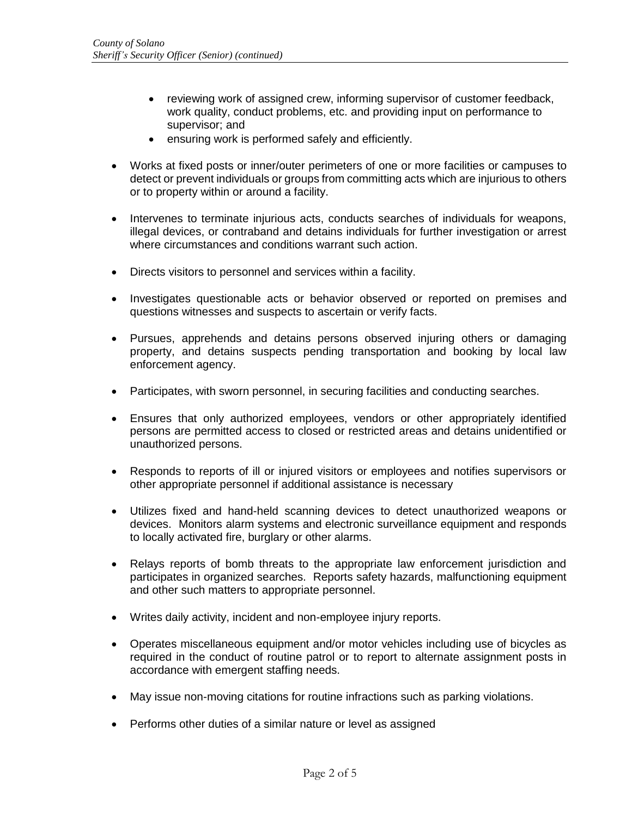- reviewing work of assigned crew, informing supervisor of customer feedback, work quality, conduct problems, etc. and providing input on performance to supervisor; and
- ensuring work is performed safely and efficiently.
- Works at fixed posts or inner/outer perimeters of one or more facilities or campuses to detect or prevent individuals or groups from committing acts which are injurious to others or to property within or around a facility.
- Intervenes to terminate injurious acts, conducts searches of individuals for weapons, illegal devices, or contraband and detains individuals for further investigation or arrest where circumstances and conditions warrant such action.
- Directs visitors to personnel and services within a facility.
- Investigates questionable acts or behavior observed or reported on premises and questions witnesses and suspects to ascertain or verify facts.
- Pursues, apprehends and detains persons observed injuring others or damaging property, and detains suspects pending transportation and booking by local law enforcement agency.
- Participates, with sworn personnel, in securing facilities and conducting searches.
- Ensures that only authorized employees, vendors or other appropriately identified persons are permitted access to closed or restricted areas and detains unidentified or unauthorized persons.
- Responds to reports of ill or injured visitors or employees and notifies supervisors or other appropriate personnel if additional assistance is necessary
- Utilizes fixed and hand-held scanning devices to detect unauthorized weapons or devices. Monitors alarm systems and electronic surveillance equipment and responds to locally activated fire, burglary or other alarms.
- Relays reports of bomb threats to the appropriate law enforcement jurisdiction and participates in organized searches. Reports safety hazards, malfunctioning equipment and other such matters to appropriate personnel.
- Writes daily activity, incident and non-employee injury reports.
- Operates miscellaneous equipment and/or motor vehicles including use of bicycles as required in the conduct of routine patrol or to report to alternate assignment posts in accordance with emergent staffing needs.
- May issue non-moving citations for routine infractions such as parking violations.
- Performs other duties of a similar nature or level as assigned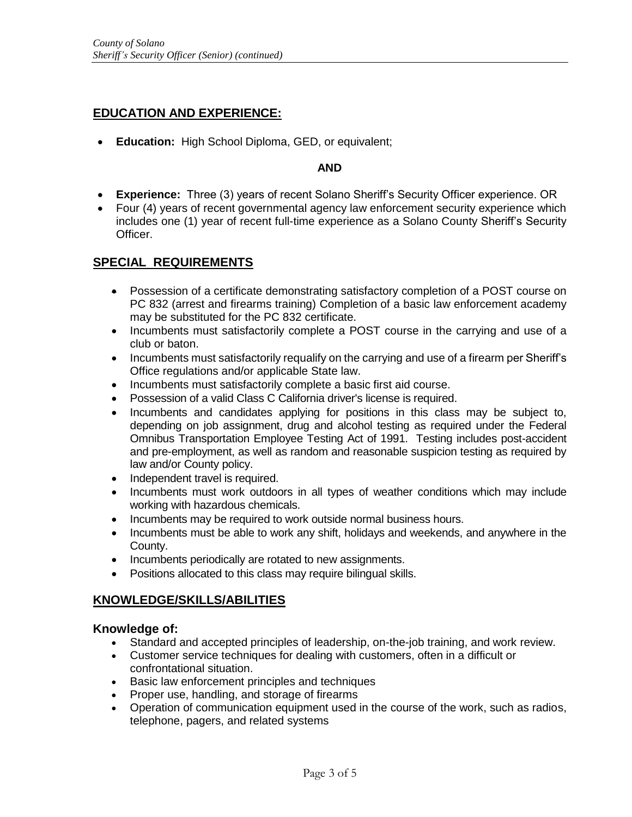## **EDUCATION AND EXPERIENCE:**

• **Education:** High School Diploma, GED, or equivalent;

#### **AND**

- **Experience:** Three (3) years of recent Solano Sheriff's Security Officer experience. OR
- Four (4) years of recent governmental agency law enforcement security experience which includes one (1) year of recent full-time experience as a Solano County Sheriff's Security Officer.

#### **SPECIAL REQUIREMENTS**

- Possession of a certificate demonstrating satisfactory completion of a POST course on PC 832 (arrest and firearms training) Completion of a basic law enforcement academy may be substituted for the PC 832 certificate.
- Incumbents must satisfactorily complete a POST course in the carrying and use of a club or baton.
- Incumbents must satisfactorily requalify on the carrying and use of a firearm per Sheriff's Office regulations and/or applicable State law.
- Incumbents must satisfactorily complete a basic first aid course.
- Possession of a valid Class C California driver's license is required.
- Incumbents and candidates applying for positions in this class may be subject to, depending on job assignment, drug and alcohol testing as required under the Federal Omnibus Transportation Employee Testing Act of 1991. Testing includes post-accident and pre-employment, as well as random and reasonable suspicion testing as required by law and/or County policy.
- Independent travel is required.
- Incumbents must work outdoors in all types of weather conditions which may include working with hazardous chemicals.
- Incumbents may be required to work outside normal business hours.
- Incumbents must be able to work any shift, holidays and weekends, and anywhere in the County.
- Incumbents periodically are rotated to new assignments.
- Positions allocated to this class may require bilingual skills.

#### **KNOWLEDGE/SKILLS/ABILITIES**

#### **Knowledge of:**

- Standard and accepted principles of leadership, on-the-job training, and work review.
- Customer service techniques for dealing with customers, often in a difficult or confrontational situation.
- Basic law enforcement principles and techniques
- Proper use, handling, and storage of firearms
- Operation of communication equipment used in the course of the work, such as radios, telephone, pagers, and related systems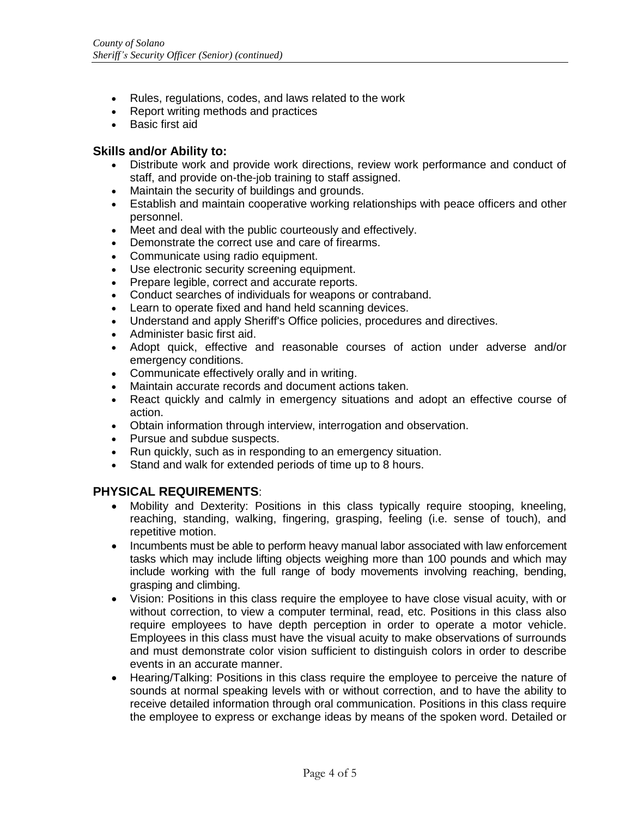- Rules, regulations, codes, and laws related to the work
- Report writing methods and practices
- Basic first aid

#### **Skills and/or Ability to:**

- Distribute work and provide work directions, review work performance and conduct of staff, and provide on-the-job training to staff assigned.
- Maintain the security of buildings and grounds.
- Establish and maintain cooperative working relationships with peace officers and other personnel.
- Meet and deal with the public courteously and effectively.
- Demonstrate the correct use and care of firearms.
- Communicate using radio equipment.
- Use electronic security screening equipment.
- Prepare legible, correct and accurate reports.
- Conduct searches of individuals for weapons or contraband.
- Learn to operate fixed and hand held scanning devices.
- Understand and apply Sheriff's Office policies, procedures and directives.
- Administer basic first aid.
- Adopt quick, effective and reasonable courses of action under adverse and/or emergency conditions.
- Communicate effectively orally and in writing.
- Maintain accurate records and document actions taken.
- React quickly and calmly in emergency situations and adopt an effective course of action.
- Obtain information through interview, interrogation and observation.
- Pursue and subdue suspects.
- Run quickly, such as in responding to an emergency situation.
- Stand and walk for extended periods of time up to 8 hours.

#### **PHYSICAL REQUIREMENTS**:

- Mobility and Dexterity: Positions in this class typically require stooping, kneeling, reaching, standing, walking, fingering, grasping, feeling (i.e. sense of touch), and repetitive motion.
- Incumbents must be able to perform heavy manual labor associated with law enforcement tasks which may include lifting objects weighing more than 100 pounds and which may include working with the full range of body movements involving reaching, bending, grasping and climbing.
- Vision: Positions in this class require the employee to have close visual acuity, with or without correction, to view a computer terminal, read, etc. Positions in this class also require employees to have depth perception in order to operate a motor vehicle. Employees in this class must have the visual acuity to make observations of surrounds and must demonstrate color vision sufficient to distinguish colors in order to describe events in an accurate manner.
- Hearing/Talking: Positions in this class require the employee to perceive the nature of sounds at normal speaking levels with or without correction, and to have the ability to receive detailed information through oral communication. Positions in this class require the employee to express or exchange ideas by means of the spoken word. Detailed or